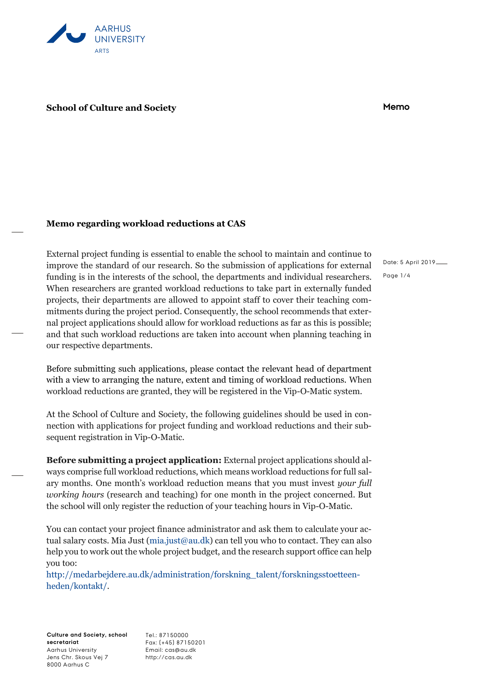

## **School of Culture and Society Memo**

## **Memo regarding workload reductions at CAS**

External project funding is essential to enable the school to maintain and continue to improve the standard of our research. So the submission of applications for external funding is in the interests of the school, the departments and individual researchers. When researchers are granted workload reductions to take part in externally funded projects, their departments are allowed to appoint staff to cover their teaching commitments during the project period. Consequently, the school recommends that external project applications should allow for workload reductions as far as this is possible; and that such workload reductions are taken into account when planning teaching in our respective departments.

Before submitting such applications, please contact the relevant head of department with a view to arranging the nature, extent and timing of workload reductions. When workload reductions are granted, they will be registered in the Vip-O-Matic system.

At the School of Culture and Society, the following guidelines should be used in connection with applications for project funding and workload reductions and their subsequent registration in Vip-O-Matic.

**Before submitting a project application:** External project applications should always comprise full workload reductions, which means workload reductions for full salary months. One month's workload reduction means that you must invest *your full working hours* (research and teaching) for one month in the project concerned. But the school will only register the reduction of your teaching hours in Vip-O-Matic.

You can contact your project finance administrator and ask them to calculate your actual salary costs. Mia Just [\(mia.just@au.dk\)](mailto:mia.just@au.dk) can tell you who to contact. They can also help you to work out the whole project budget, and the research support office can help you too:

[http://medarbejdere.au.dk/administration/forskning\\_talent/forskningsstoetteen](http://medarbejdere.au.dk/administration/forskning_talent/forskningsstoetteenheden/kontakt/)[heden/kontakt/.](http://medarbejdere.au.dk/administration/forskning_talent/forskningsstoetteenheden/kontakt/)

**Culture and Society, school secretariat** Aarhus University Jens Chr. Skous Vej 7 8000 Aarhus C

Tel.: 87150000 Fax: (+45) 87150201 Email: cas@au.dk http://cas.au.dk

Date: 5 April 2019 Page 1/4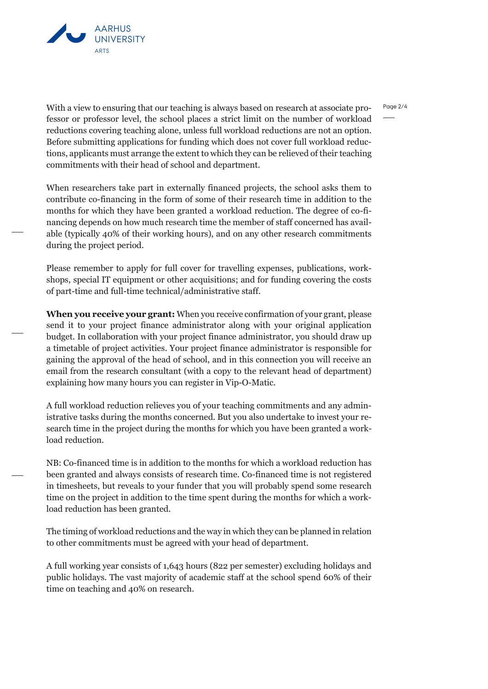

With a view to ensuring that our teaching is always based on research at associate professor or professor level, the school places a strict limit on the number of workload reductions covering teaching alone, unless full workload reductions are not an option. Before submitting applications for funding which does not cover full workload reductions, applicants must arrange the extent to which they can be relieved of their teaching commitments with their head of school and department.

When researchers take part in externally financed projects, the school asks them to contribute co-financing in the form of some of their research time in addition to the months for which they have been granted a workload reduction. The degree of co-financing depends on how much research time the member of staff concerned has available (typically 40% of their working hours), and on any other research commitments during the project period.

Please remember to apply for full cover for travelling expenses, publications, workshops, special IT equipment or other acquisitions; and for funding covering the costs of part-time and full-time technical/administrative staff.

**When you receive your grant:** When you receive confirmation of your grant, please send it to your project finance administrator along with your original application budget. In collaboration with your project finance administrator, you should draw up a timetable of project activities. Your project finance administrator is responsible for gaining the approval of the head of school, and in this connection you will receive an email from the research consultant (with a copy to the relevant head of department) explaining how many hours you can register in Vip-O-Matic.

A full workload reduction relieves you of your teaching commitments and any administrative tasks during the months concerned. But you also undertake to invest your research time in the project during the months for which you have been granted a workload reduction.

NB: Co-financed time is in addition to the months for which a workload reduction has been granted and always consists of research time. Co-financed time is not registered in timesheets, but reveals to your funder that you will probably spend some research time on the project in addition to the time spent during the months for which a workload reduction has been granted.

The timing of workload reductions and the way in which they can be planned in relation to other commitments must be agreed with your head of department.

A full working year consists of 1,643 hours (822 per semester) excluding holidays and public holidays. The vast majority of academic staff at the school spend 60% of their time on teaching and 40% on research.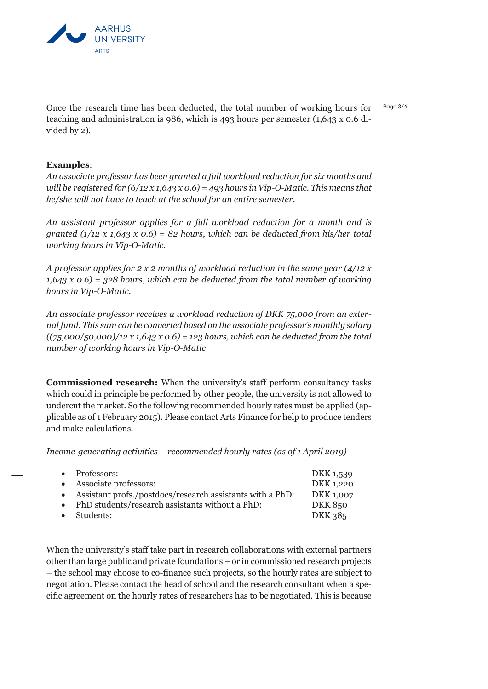

Page 3/4 Once the research time has been deducted, the total number of working hours for teaching and administration is 986, which is 493 hours per semester (1,643 x 0.6 divided by 2).

## **Examples**:

*An associate professor has been granted a full workload reduction for six months and will be registered for (6/12 x 1,643 x 0.6) = 493 hours in Vip-O-Matic. This means that he/she will not have to teach at the school for an entire semester.*

*An assistant professor applies for a full workload reduction for a month and is granted (1/12 x 1,643 x 0.6) = 82 hours, which can be deducted from his/her total working hours in Vip-O-Matic.*

*A professor applies for 2 x 2 months of workload reduction in the same year (4/12 x 1,643 x 0.6) = 328 hours, which can be deducted from the total number of working hours in Vip-O-Matic.*

*An associate professor receives a workload reduction of DKK 75,000 from an external fund. This sum can be converted based on the associate professor's monthly salary ((75,000/50,000)/12 x 1,643 x 0.6) = 123 hours, which can be deducted from the total number of working hours in Vip-O-Matic* 

**Commissioned research:** When the university's staff perform consultancy tasks which could in principle be performed by other people, the university is not allowed to undercut the market. So the following recommended hourly rates must be applied (applicable as of 1 February 2015). Please contact Arts Finance for help to produce tenders and make calculations.

*Income-generating activities – recommended hourly rates (as of 1 April 2019)*

| • Professors:                                               | DKK 1,539 |
|-------------------------------------------------------------|-----------|
| • Associate professors:                                     | DKK 1,220 |
| • Assistant profs./postdocs/research assistants with a PhD: | DKK 1,007 |
| • PhD students/research assistants without a PhD:           | DKK 850   |
| • Students:                                                 | DKK 385   |

When the university's staff take part in research collaborations with external partners other than large public and private foundations – or in commissioned research projects – the school may choose to co-finance such projects, so the hourly rates are subject to negotiation. Please contact the head of school and the research consultant when a specific agreement on the hourly rates of researchers has to be negotiated. This is because